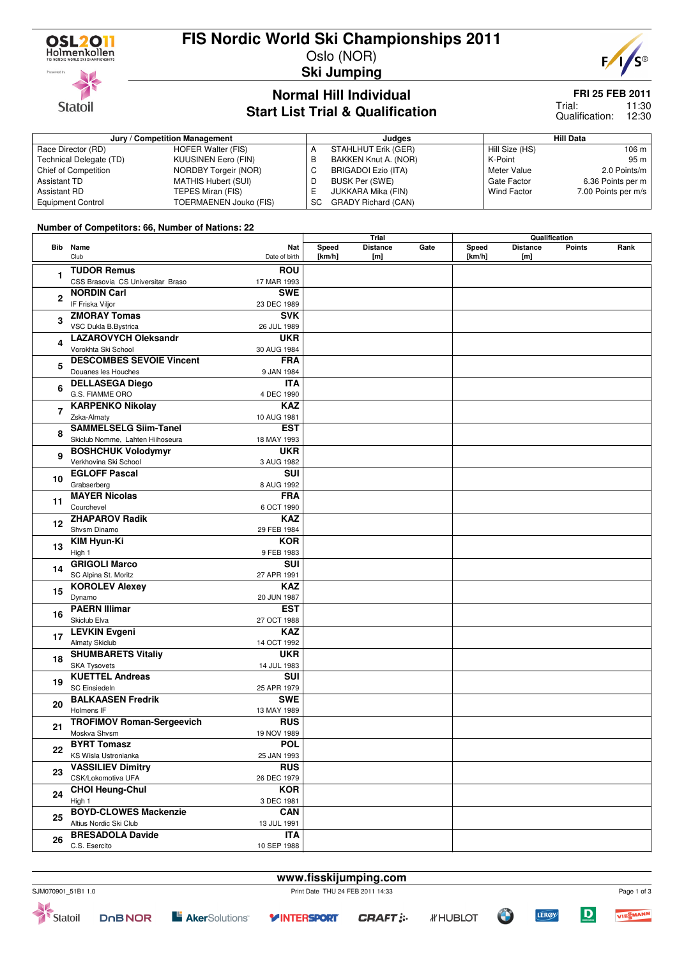

## **FIS Nordic World Ski Championships 2011**

Oslo (NOR) **Ski Jumping**



### **Normal Hill Individual Start List Trial & Qualification**

SC GRADY Richard (CAN)

### **FRI 25 FEB 2011**

11:30 12:30 Trial: Qualification:

| Jury / Competition Management |                      | Judges               |                    | Hill Data           |  |  |
|-------------------------------|----------------------|----------------------|--------------------|---------------------|--|--|
| Race Director (RD)            | HOFER Walter (FIS)   | STAHLHUT Erik (GER)  | Hill Size (HS)     | 106 m               |  |  |
| Technical Delegate (TD)       | KUUSINEN Eero (FIN)  | BAKKEN Knut A. (NOR) | K-Point            | 95 <sub>m</sub>     |  |  |
| Chief of Competition          | NORDBY Torgeir (NOR) | BRIGADOI Ezio (ITA)  | Meter Value        | 2.0 Points/m        |  |  |
| Assistant TD                  | MATHIS Hubert (SUI)  | BUSK Per (SWE)       | Gate Factor        | 6.36 Points per m   |  |  |
| Assistant RD                  | TEPES Miran (FIS)    | JUKKARA Mika (FIN)   | <b>Wind Factor</b> | 7.00 Points per m/s |  |  |

### **Number of Competitors: 66, Number of Nations: 22**

Equipment Control TOERMAENEN Jouko (FIS)

|              |                                   |               | Trial  |                 |      | Qualification |                 |        |      |
|--------------|-----------------------------------|---------------|--------|-----------------|------|---------------|-----------------|--------|------|
|              | Bib Name                          | Nat           | Speed  | <b>Distance</b> | Gate | Speed         | <b>Distance</b> | Points | Rank |
|              | Club                              | Date of birth | [km/h] | [m]             |      | [km/h]        | [m]             |        |      |
|              | <b>TUDOR Remus</b>                | <b>ROU</b>    |        |                 |      |               |                 |        |      |
| 1            |                                   |               |        |                 |      |               |                 |        |      |
|              | CSS Brasovia CS Universitar Braso | 17 MAR 1993   |        |                 |      |               |                 |        |      |
| $\mathbf{2}$ | <b>NORDIN Carl</b>                | <b>SWE</b>    |        |                 |      |               |                 |        |      |
|              | IF Friska Viljor                  | 23 DEC 1989   |        |                 |      |               |                 |        |      |
| 3            | <b>ZMORAY Tomas</b>               | <b>SVK</b>    |        |                 |      |               |                 |        |      |
|              | VSC Dukla B.Bystrica              | 26 JUL 1989   |        |                 |      |               |                 |        |      |
|              | <b>LAZAROVYCH Oleksandr</b>       | <b>UKR</b>    |        |                 |      |               |                 |        |      |
| 4            | Vorokhta Ski School               | 30 AUG 1984   |        |                 |      |               |                 |        |      |
|              | <b>DESCOMBES SEVOIE Vincent</b>   | <b>FRA</b>    |        |                 |      |               |                 |        |      |
| 5            | Douanes les Houches               | 9 JAN 1984    |        |                 |      |               |                 |        |      |
|              | <b>DELLASEGA Diego</b>            | <b>ITA</b>    |        |                 |      |               |                 |        |      |
| 6            | G.S. FIAMME ORO                   |               |        |                 |      |               |                 |        |      |
|              |                                   | 4 DEC 1990    |        |                 |      |               |                 |        |      |
| 7            | <b>KARPENKO Nikolay</b>           | <b>KAZ</b>    |        |                 |      |               |                 |        |      |
|              | Zska-Almaty                       | 10 AUG 1981   |        |                 |      |               |                 |        |      |
| 8            | <b>SAMMELSELG Siim-Tanel</b>      | <b>EST</b>    |        |                 |      |               |                 |        |      |
|              | Skiclub Nomme, Lahten Hiihoseura  | 18 MAY 1993   |        |                 |      |               |                 |        |      |
| 9            | <b>BOSHCHUK Volodymyr</b>         | <b>UKR</b>    |        |                 |      |               |                 |        |      |
|              | Verkhovina Ski School             | 3 AUG 1982    |        |                 |      |               |                 |        |      |
|              | <b>EGLOFF Pascal</b>              | <b>SUI</b>    |        |                 |      |               |                 |        |      |
| 10           | Grabserberg                       | 8 AUG 1992    |        |                 |      |               |                 |        |      |
|              | <b>MAYER Nicolas</b>              | <b>FRA</b>    |        |                 |      |               |                 |        |      |
| 11           | Courchevel                        | 6 OCT 1990    |        |                 |      |               |                 |        |      |
|              | <b>ZHAPAROV Radik</b>             | <b>KAZ</b>    |        |                 |      |               |                 |        |      |
| 12           | Shvsm Dinamo                      | 29 FEB 1984   |        |                 |      |               |                 |        |      |
|              | KIM Hyun-Ki                       | <b>KOR</b>    |        |                 |      |               |                 |        |      |
| 13           |                                   |               |        |                 |      |               |                 |        |      |
|              | High 1                            | 9 FEB 1983    |        |                 |      |               |                 |        |      |
| 14           | <b>GRIGOLI Marco</b>              | SUI           |        |                 |      |               |                 |        |      |
|              | SC Alpina St. Moritz              | 27 APR 1991   |        |                 |      |               |                 |        |      |
| 15           | <b>KOROLEV Alexey</b>             | <b>KAZ</b>    |        |                 |      |               |                 |        |      |
|              | Dynamo                            | 20 JUN 1987   |        |                 |      |               |                 |        |      |
| 16           | <b>PAERN Illimar</b>              | <b>EST</b>    |        |                 |      |               |                 |        |      |
|              | Skiclub Elva                      | 27 OCT 1988   |        |                 |      |               |                 |        |      |
| 17           | <b>LEVKIN Evgeni</b>              | <b>KAZ</b>    |        |                 |      |               |                 |        |      |
|              | Almaty Skiclub                    | 14 OCT 1992   |        |                 |      |               |                 |        |      |
|              | <b>SHUMBARETS Vitaliy</b>         | <b>UKR</b>    |        |                 |      |               |                 |        |      |
| 18           | <b>SKA Tysovets</b>               | 14 JUL 1983   |        |                 |      |               |                 |        |      |
|              | <b>KUETTEL Andreas</b>            | SUI           |        |                 |      |               |                 |        |      |
| 19           | <b>SC Einsiedeln</b>              | 25 APR 1979   |        |                 |      |               |                 |        |      |
|              | <b>BALKAASEN Fredrik</b>          | <b>SWE</b>    |        |                 |      |               |                 |        |      |
| 20           | Holmens IF                        | 13 MAY 1989   |        |                 |      |               |                 |        |      |
|              | <b>TROFIMOV Roman-Sergeevich</b>  | <b>RUS</b>    |        |                 |      |               |                 |        |      |
| 21           |                                   |               |        |                 |      |               |                 |        |      |
|              | Moskva Shvsm                      | 19 NOV 1989   |        |                 |      |               |                 |        |      |
| 22           | <b>BYRT Tomasz</b>                | <b>POL</b>    |        |                 |      |               |                 |        |      |
|              | KS Wisla Ustronianka              | 25 JAN 1993   |        |                 |      |               |                 |        |      |
| 23           | <b>VASSILIEV Dimitry</b>          | <b>RUS</b>    |        |                 |      |               |                 |        |      |
|              | CSK/Lokomotiva UFA                | 26 DEC 1979   |        |                 |      |               |                 |        |      |
| 24           | <b>CHOI Heung-Chul</b>            | <b>KOR</b>    |        |                 |      |               |                 |        |      |
|              | High 1                            | 3 DEC 1981    |        |                 |      |               |                 |        |      |
|              | <b>BOYD-CLOWES Mackenzie</b>      | <b>CAN</b>    |        |                 |      |               |                 |        |      |
| 25           | Altius Nordic Ski Club            | 13 JUL 1991   |        |                 |      |               |                 |        |      |
|              | <b>BRESADOLA Davide</b>           | <b>ITA</b>    |        |                 |      |               |                 |        |      |
| 26           | C.S. Esercito                     | 10 SEP 1988   |        |                 |      |               |                 |        |      |



Statoil



 $\mathbf D$ 

**LEROY** 

**Y INTERSPORT**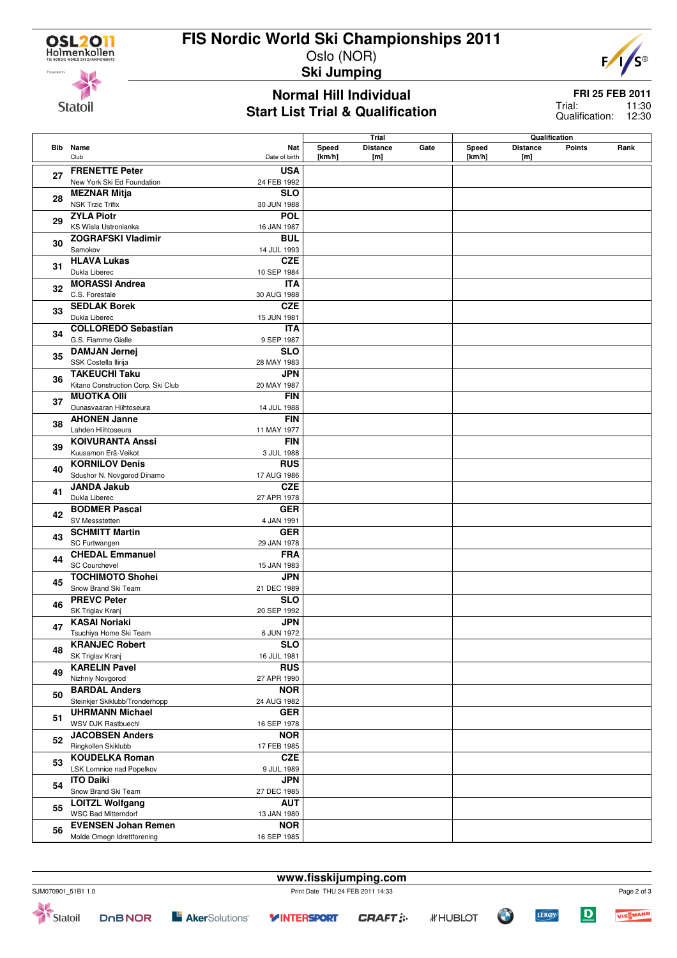**Statoil** 

# **FIS Nordic World Ski Championships 2011**

Oslo (NOR) **Ski Jumping**



**Normal Hill Individual Start List Trial & Qualification** **FRI 25 FEB 2011** 11:30

12:30 Trial: Qualification:

|          |                                    |                         |        | Trial           |      |            | Qualification                    |      |
|----------|------------------------------------|-------------------------|--------|-----------------|------|------------|----------------------------------|------|
|          | <b>Bib</b> Name                    | Nat                     | Speed  | <b>Distance</b> | Gate | Speed      | <b>Distance</b><br><b>Points</b> | Rank |
|          | Club                               | Date of birth           | [km/h] | [m]             |      | [ $km/h$ ] | [m]                              |      |
|          | <b>FRENETTE Peter</b>              | <b>USA</b>              |        |                 |      |            |                                  |      |
| 27       | New York Ski Ed Foundation         | 24 FEB 1992             |        |                 |      |            |                                  |      |
|          |                                    | <b>SLO</b>              |        |                 |      |            |                                  |      |
| 28<br>29 | <b>MEZNAR Mitja</b>                |                         |        |                 |      |            |                                  |      |
|          | <b>NSK Trzic Trifix</b>            | 30 JUN 1988             |        |                 |      |            |                                  |      |
|          | <b>ZYLA Piotr</b>                  | <b>POL</b>              |        |                 |      |            |                                  |      |
|          | KS Wisla Ustronianka               | 16 JAN 1987             |        |                 |      |            |                                  |      |
| 30       | <b>ZOGRAFSKI Vladimir</b>          | <b>BUL</b>              |        |                 |      |            |                                  |      |
|          | Samokov                            | 14 JUL 1993             |        |                 |      |            |                                  |      |
|          | <b>HLAVA Lukas</b>                 | <b>CZE</b>              |        |                 |      |            |                                  |      |
| 31       | Dukla Liberec                      | 10 SEP 1984             |        |                 |      |            |                                  |      |
|          | <b>MORASSI Andrea</b>              | <b>ITA</b>              |        |                 |      |            |                                  |      |
| 32       | C.S. Forestale                     | 30 AUG 1988             |        |                 |      |            |                                  |      |
|          |                                    |                         |        |                 |      |            |                                  |      |
| 33       | <b>SEDLAK Borek</b>                | <b>CZE</b>              |        |                 |      |            |                                  |      |
|          | Dukla Liberec                      | 15 JUN 1981             |        |                 |      |            |                                  |      |
| 34       | <b>COLLOREDO Sebastian</b>         | ITA                     |        |                 |      |            |                                  |      |
|          | G.S. Fiamme Gialle                 | 9 SEP 1987              |        |                 |      |            |                                  |      |
| 35       | <b>DAMJAN Jernej</b>               | <b>SLO</b>              |        |                 |      |            |                                  |      |
|          | SSK Costella Ilirija               | 28 MAY 1983             |        |                 |      |            |                                  |      |
|          | <b>TAKEUCHI Taku</b>               | JPN                     |        |                 |      |            |                                  |      |
| 36       | Kitano Construction Corp. Ski Club | 20 MAY 1987             |        |                 |      |            |                                  |      |
|          | <b>MUOTKA OIII</b>                 | <b>FIN</b>              |        |                 |      |            |                                  |      |
| 37       | Ounasvaaran Hiihtoseura            | 14 JUL 1988             |        |                 |      |            |                                  |      |
|          | <b>AHONEN Janne</b>                | <b>FIN</b>              |        |                 |      |            |                                  |      |
| 38       |                                    |                         |        |                 |      |            |                                  |      |
|          | Lahden Hiihtoseura                 | 11 MAY 1977             |        |                 |      |            |                                  |      |
| 39       | <b>KOIVURANTA Anssi</b>            | <b>FIN</b>              |        |                 |      |            |                                  |      |
|          | Kuusamon Erä-Veikot                | 3 JUL 1988              |        |                 |      |            |                                  |      |
| 40       | <b>KORNILOV Denis</b>              | <b>RUS</b>              |        |                 |      |            |                                  |      |
|          | Sdushor N. Novgorod Dinamo         | 17 AUG 1986             |        |                 |      |            |                                  |      |
| 41       | <b>JANDA Jakub</b>                 | <b>CZE</b>              |        |                 |      |            |                                  |      |
|          | Dukla Liberec                      | 27 APR 1978             |        |                 |      |            |                                  |      |
| 42       | <b>BODMER Pascal</b>               | <b>GER</b>              |        |                 |      |            |                                  |      |
|          | SV Messstetten                     | 4 JAN 1991              |        |                 |      |            |                                  |      |
|          | <b>SCHMITT Martin</b>              | <b>GER</b>              |        |                 |      |            |                                  |      |
| 43       | SC Furtwangen                      | 29 JAN 1978             |        |                 |      |            |                                  |      |
|          | <b>CHEDAL Emmanuel</b>             | <b>FRA</b>              |        |                 |      |            |                                  |      |
| 44       | <b>SC Courchevel</b>               | 15 JAN 1983             |        |                 |      |            |                                  |      |
|          | <b>TOCHIMOTO Shohei</b>            | <b>JPN</b>              |        |                 |      |            |                                  |      |
| 45       | Snow Brand Ski Team                | 21 DEC 1989             |        |                 |      |            |                                  |      |
|          | <b>PREVC Peter</b>                 | <b>SLO</b>              |        |                 |      |            |                                  |      |
| 46       |                                    |                         |        |                 |      |            |                                  |      |
|          | SK Triglav Kranj                   | 20 SEP 1992             |        |                 |      |            |                                  |      |
| 47       | <b>KASAI Noriaki</b>               | <b>JPN</b>              |        |                 |      |            |                                  |      |
|          | Tsuchiya Home Ski Team             | 6 JUN 1972              |        |                 |      |            |                                  |      |
| 48       | <b>KRANJEC Robert</b>              | $\overline{\text{SLO}}$ |        |                 |      |            |                                  |      |
|          | SK Triglav Kranj                   | 16 JUL 1981             |        |                 |      |            |                                  |      |
| 49       | <b>KARELIN Pavel</b>               | <b>RUS</b>              |        |                 |      |            |                                  |      |
|          | Nizhniy Novgorod                   | 27 APR 1990             |        |                 |      |            |                                  |      |
|          | <b>BARDAL Anders</b>               | <b>NOR</b>              |        |                 |      |            |                                  |      |
| 50       | Steinkjer Skiklubb/Tronderhopp     | 24 AUG 1982             |        |                 |      |            |                                  |      |
|          | <b>UHRMANN Michael</b>             | <b>GER</b>              |        |                 |      |            |                                  |      |
| 51       | WSV DJK Rastbuechl                 | 16 SEP 1978             |        |                 |      |            |                                  |      |
|          | <b>JACOBSEN Anders</b>             | <b>NOR</b>              |        |                 |      |            |                                  |      |
| 52       | Ringkollen Skiklubb                | 17 FEB 1985             |        |                 |      |            |                                  |      |
| 53       |                                    |                         |        |                 |      |            |                                  |      |
|          | <b>KOUDELKA Roman</b>              | CZE                     |        |                 |      |            |                                  |      |
|          | LSK Lomnice nad Popelkov           | 9 JUL 1989              |        |                 |      |            |                                  |      |
| 54       | <b>ITO Daiki</b>                   | <b>JPN</b>              |        |                 |      |            |                                  |      |
|          | Snow Brand Ski Team                | 27 DEC 1985             |        |                 |      |            |                                  |      |
| 55       | <b>LOITZL Wolfgang</b>             | <b>AUT</b>              |        |                 |      |            |                                  |      |
|          | <b>WSC Bad Mitterndorf</b>         | 13 JAN 1980             |        |                 |      |            |                                  |      |
| 56       | <b>EVENSEN Johan Remen</b>         | <b>NOR</b>              |        |                 |      |            |                                  |      |
|          | Molde Omegn Idrettforening         | 16 SEP 1985             |        |                 |      |            |                                  |      |



VIESMANN

 $\boxed{\mathbf{D}}$